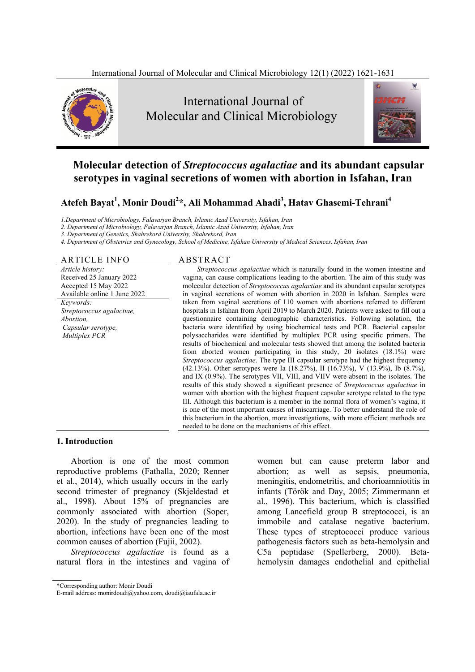



# **Molecular detection of** *Streptococcus agalactiae* **and its abundant capsular serotypes in vaginal secretions of women with abortion in Isfahan, Iran**

**Atefeh Bayat<sup>1</sup> , Monir Doudi<sup>2</sup> \*, Ali Mohammad Ahadi3 , Hatav Ghasemi-Tehrani<sup>4</sup>**

*1.Department of Microbiology, Falavarjan Branch, Islamic Azad University, Isfahan, Iran* 

*2. Department of Microbiology, Falavarjan Branch, Islamic Azad University, Isfahan, Iran* 

*3. Department of Genetics, Shahrekord University, Shahrekord, Iran* 

*4. Department of Obstetrics and Gynecology, School of Medicine, Isfahan University of Medical Sciences, Isfahan, Iran* 

# ARTICLE INFO ABSTRACT

*Article history:*  Received 25 January 2022 Accepted 15 May 2022 Available online 1 June 2022 *Keywords: Streptococcus agalactiae, Abortion, Capsular serotype, Multiplex PCR* 

*Streptococcus agalactiae* which is naturally found in the women intestine and vagina, can cause complications leading to the abortion. The aim of this study was molecular detection of *Streptococcus agalactiae* and its abundant capsular serotypes in vaginal secretions of women with abortion in 2020 in Isfahan. Samples were taken from vaginal secretions of 110 women with abortions referred to different hospitals in Isfahan from April 2019 to March 2020. Patients were asked to fill out a questionnaire containing demographic characteristics. Following isolation, the bacteria were identified by using biochemical tests and PCR. Bacterial capsular polysaccharides were identified by multiplex PCR using specific primers. The results of biochemical and molecular tests showed that among the isolated bacteria from aborted women participating in this study, 20 isolates (18.1%) were *Streptococcus agalactiae*. The type III capsular serotype had the highest frequency (42.13%). Other serotypes were Ia (18.27%), II (16.73%), V (13.9%), Ib (8.7%), and IX (0.9%). The serotypes VII, VIII, and VIIV were absent in the isolates. The results of this study showed a significant presence of *Streptococcus agalactiae* in women with abortion with the highest frequent capsular serotype related to the type III. Although this bacterium is a member in the normal flora of women's vagina, it is one of the most important causes of miscarriage. To better understand the role of this bacterium in the abortion, more investigations, with more efficient methods are needed to be done on the mechanisms of this effect.

#### **1. Introduction**

Abortion is one of the most common reproductive problems (Fathalla, 2020; Renner et al., 2014), which usually occurs in the early second trimester of pregnancy (Skjeldestad et al., 1998). About 15% of pregnancies are commonly associated with abortion (Soper, 2020). In the study of pregnancies leading to abortion, infections have been one of the most common causes of abortion (Fujii, 2002).

*Streptococcus agalactiae* is found as a natural flora in the intestines and vagina of

women but can cause preterm labor and abortion; as well as sepsis, pneumonia, meningitis, endometritis, and chorioamniotitis in infants (Török and Day, 2005; Zimmermann et al., 1996). This bacterium, which is classified among Lancefield group B streptococci, is an immobile and catalase negative bacterium. These types of streptococci produce various pathogenesis factors such as beta-hemolysin and C5a peptidase (Spellerberg, 2000). Betahemolysin damages endothelial and epithelial

<sup>\*</sup>Corresponding author: Monir Doudi

E-mail address: monirdoudi@yahoo.com, doudi@iaufala.ac.ir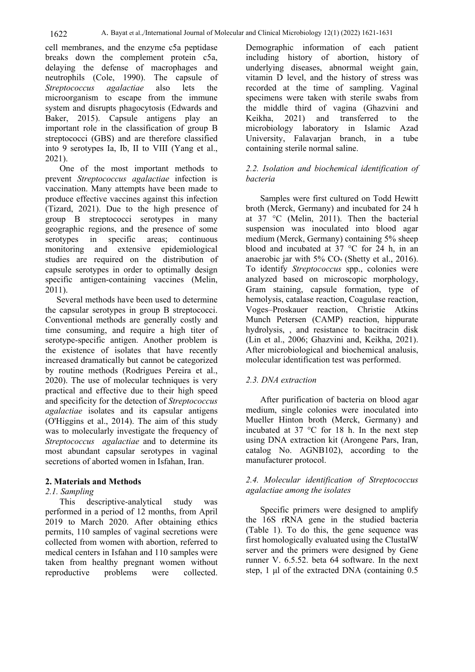cell membranes, and the enzyme c5a peptidase breaks down the complement protein c5a, delaying the defense of macrophages and neutrophils (Cole, 1990). The capsule of *Streptococcus agalactiae* also lets the microorganism to escape from the immune system and disrupts phagocytosis (Edwards and Baker, 2015). Capsule antigens play an important role in the classification of group B streptococci (GBS) and are therefore classified into 9 serotypes Ia, Ib, II to VIII (Yang et al., 2021).

One of the most important methods to prevent *Streptococcus agalactiae* infection is vaccination. Many attempts have been made to produce effective vaccines against this infection (Tizard, 2021). Due to the high presence of group B streptococci serotypes in many geographic regions, and the presence of some serotypes in specific areas; continuous monitoring and extensive epidemiological studies are required on the distribution of capsule serotypes in order to optimally design specific antigen-containing vaccines (Melin, 2011).

Several methods have been used to determine the capsular serotypes in group B streptococci. Conventional methods are generally costly and time consuming, and require a high titer of serotype-specific antigen. Another problem is the existence of isolates that have recently increased dramatically but cannot be categorized by routine methods (Rodrigues Pereira et al., 2020). The use of molecular techniques is very practical and effective due to their high speed and specificity for the detection of *Streptococcus agalactiae* isolates and its capsular antigens (O'Higgins et al., 2014). The aim of this study was to molecularly investigate the frequency of *Streptococcus agalactiae* and to determine its most abundant capsular serotypes in vaginal secretions of aborted women in Isfahan, Iran.

#### **2. Materials and Methods**

#### *2.1. Sampling*

This descriptive-analytical study was performed in a period of 12 months, from April 2019 to March 2020. After obtaining ethics permits, 110 samples of vaginal secretions were collected from women with abortion, referred to medical centers in Isfahan and 110 samples were taken from healthy pregnant women without reproductive problems were collected.

Demographic information of each patient including history of abortion, history of underlying diseases, abnormal weight gain, vitamin D level, and the history of stress was recorded at the time of sampling. Vaginal specimens were taken with sterile swabs from the middle third of vagina (Ghazvini and Keikha, 2021) and transferred to the microbiology laboratory in Islamic Azad University, Falavarjan branch, in a tube containing sterile normal saline.

### *2.2. Isolation and biochemical identification of bacteria*

Samples were first cultured on Todd Hewitt broth (Merck, Germany) and incubated for 24 h at 37 °C (Melin, 2011). Then the bacterial suspension was inoculated into blood agar medium (Merck, Germany) containing 5% sheep blood and incubated at 37 °C for 24 h, in an anaerobic jar with  $5\%$  CO<sub>r</sub> (Shetty et al., 2016). To identify *Streptococcus* spp., colonies were analyzed based on microscopic morphology, Gram staining, capsule formation, type of hemolysis, catalase reaction, Coagulase reaction, Voges–Proskauer reaction, Christie Atkins Munch Petersen (CAMP) reaction, hippurate hydrolysis, , and resistance to bacitracin disk (Lin et al., 2006; Ghazvini and, Keikha, 2021). After microbiological and biochemical analusis, molecular identification test was performed.

#### *2.3. DNA extraction*

After purification of bacteria on blood agar medium, single colonies were inoculated into Mueller Hinton broth (Merck, Germany) and incubated at 37 °C for 18 h. In the next step using DNA extraction kit (Arongene Pars, Iran, catalog No. AGNB102), according to the manufacturer protocol.

#### *2.4. Molecular identification of Streptococcus agalactiae among the isolates*

Specific primers were designed to amplify the 16S rRNA gene in the studied bacteria (Table 1). To do this, the gene sequence was first homologically evaluated using the ClustalW server and the primers were designed by Gene runner V. 6.5.52. beta 64 software. In the next step, 1 μl of the extracted DNA (containing 0.5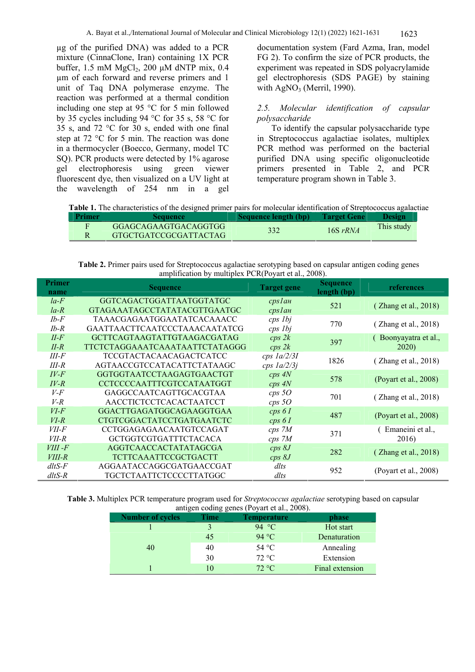µg of the purified DNA) was added to a PCR mixture (CinnaClone, Iran) containing 1X PCR buffer,  $1.5 \text{ mM MgCl}_2$ ,  $200 \mu \text{M dNTP mix}$ ,  $0.4 \mu$ µm of each forward and reverse primers and 1 unit of Taq DNA polymerase enzyme. The reaction was performed at a thermal condition including one step at 95 °C for 5 min followed by 35 cycles including 94 °C for 35 s, 58 °C for 35 s, and 72 °C for 30 s, ended with one final step at 72 °C for 5 min. The reaction was done in a thermocycler (Boecco, Germany, model TC SQ). PCR products were detected by 1% agarose gel electrophoresis using green viewer fluorescent dye, then visualized on a UV light at the wavelength of 254 nm in a gel

documentation system (Fard Azma, Iran, model FG 2). To confirm the size of PCR products, the experiment was repeated in SDS polyacrylamide gel electrophoresis (SDS PAGE) by staining with  $AgNO<sub>3</sub>$  (Merril, 1990).

### *2.5. Molecular identification of capsular polysaccharide*

To identify the capsular polysaccharide type in Streptococcus agalactiae isolates, multiplex PCR method was performed on the bacterial purified DNA using specific oligonucleotide primers presented in Table 2, and PCR temperature program shown in Table 3.

**Table 1.** The characteristics of the designed primer pairs for molecular identification of Streptococcus agalactiae

| Primer | Sequence                                      | <b>Sequence length (bp)</b> | <b>Target Gene</b> | <b>Design</b> |
|--------|-----------------------------------------------|-----------------------------|--------------------|---------------|
|        | GGAGCAGAAGTGACAGGTGG<br>GTGCTGATCCGCGATTACTAG | 332                         | $16S$ rRNA         | This study    |

**Table 2.** Primer pairs used for Streptococcus agalactiae serotyping based on capsular antigen coding genes amplification by multiplex PCR(Poyart et al., 2008).

| <b>Primer</b><br><b>Sequence</b><br><b>Target gene</b><br><b>Sequence</b><br>references<br>length (bp)<br>name<br>$la-F$<br>GGTCAGACTGGATTAATGGTATGC<br>$cps$ $1$ $a$ $n$<br>521<br>(Zhang et al., 2018)<br>GTAGAAATAGCCTATATACGTTGAATGC<br>$la - R$<br>$cps$ <i>lah</i><br>$Ib-F$<br>TAAACGAGAATGGAATATCACAAACC<br>cps 1bj<br>770<br>(Zhang et al., 2018)<br>$Ib-R$<br>GAATTAACTTCAATCCCTAAACAATATCG<br>cps 1bj<br><b>GCTTCAGTAAGTATTGTAAGACGATAG</b><br>$II-F$<br>cps 2k<br>Boonyayatra et al.,<br>397<br>$II-R$<br>TTCTCTAGGAAATCAAATAATTCTATAGGG<br>2020)<br>cps 2k<br>III-F<br><b>TCCGTACTACAACAGACTCATCC</b><br>$cps \; Ia/2/3I$<br>1826<br>(Zhang et al., 2018)<br>III-R<br>AGTAACCGTCCATACATTCTATAAGC<br>$cps \; Ia/2/3j$<br>$IV-F$<br>GGTGGTAATCCTAAGAGTGAACTGT<br>$cps\ AN$<br>578<br>(Poyart et al., 2008)<br>$IV-R$<br><b>CCTCCCCAATTTCGTCCATAATGGT</b><br>$cps\ AN$<br>$V\text{-}F$<br>GAGGCCAATCAGTTGCACGTAA<br>$cps\,5O$<br>701<br>(Zhang et al., 2018)<br>AACCTICTCCTCACACTAATCCT<br>$V-R$<br>$cps\,5O$<br>$VI$ - $F$<br>GGACTTGAGATGGCAGAAGGTGAA<br>cps 61<br>487<br>(Poyart et al., 2008)<br>$VI-R$<br>CTGTCGGACTATCCTGATGAATCTC<br>cps 61<br>Emaneini et al.,<br>CCTGGAGAGAACAATGTCCAGAT<br>$VII-F$<br>$cps\,7M$<br>371<br>$VII-R$<br><b>GCTGGTCGTGATTTCTACACA</b><br>2016)<br>$cps\,7M$<br>AGGTCAACCACTATATAGCGA<br>$VIII - F$<br>cps <sub>8J</sub><br>282<br>(Zhang et al., 2018)<br><b>TCTTCAAATTCCGCTGACTT</b><br>cps <sub>8J</sub><br>$VIII-R$<br>AGGAATACCAGGCGATGAACCGAT<br>$d$ ltS- $F$<br>dlts<br>952<br>(Poyart et al., 2008)<br>TGCTCTAATTCTCCCCTTATGGC<br>$d$ ltS-R<br>dlts | amplineation by manipies I Cit(I byart et al., 2000). |  |  |
|------------------------------------------------------------------------------------------------------------------------------------------------------------------------------------------------------------------------------------------------------------------------------------------------------------------------------------------------------------------------------------------------------------------------------------------------------------------------------------------------------------------------------------------------------------------------------------------------------------------------------------------------------------------------------------------------------------------------------------------------------------------------------------------------------------------------------------------------------------------------------------------------------------------------------------------------------------------------------------------------------------------------------------------------------------------------------------------------------------------------------------------------------------------------------------------------------------------------------------------------------------------------------------------------------------------------------------------------------------------------------------------------------------------------------------------------------------------------------------------------------------------------------------------------------------------------------------------------------------|-------------------------------------------------------|--|--|
|                                                                                                                                                                                                                                                                                                                                                                                                                                                                                                                                                                                                                                                                                                                                                                                                                                                                                                                                                                                                                                                                                                                                                                                                                                                                                                                                                                                                                                                                                                                                                                                                            |                                                       |  |  |
|                                                                                                                                                                                                                                                                                                                                                                                                                                                                                                                                                                                                                                                                                                                                                                                                                                                                                                                                                                                                                                                                                                                                                                                                                                                                                                                                                                                                                                                                                                                                                                                                            |                                                       |  |  |
|                                                                                                                                                                                                                                                                                                                                                                                                                                                                                                                                                                                                                                                                                                                                                                                                                                                                                                                                                                                                                                                                                                                                                                                                                                                                                                                                                                                                                                                                                                                                                                                                            |                                                       |  |  |
|                                                                                                                                                                                                                                                                                                                                                                                                                                                                                                                                                                                                                                                                                                                                                                                                                                                                                                                                                                                                                                                                                                                                                                                                                                                                                                                                                                                                                                                                                                                                                                                                            |                                                       |  |  |
|                                                                                                                                                                                                                                                                                                                                                                                                                                                                                                                                                                                                                                                                                                                                                                                                                                                                                                                                                                                                                                                                                                                                                                                                                                                                                                                                                                                                                                                                                                                                                                                                            |                                                       |  |  |
|                                                                                                                                                                                                                                                                                                                                                                                                                                                                                                                                                                                                                                                                                                                                                                                                                                                                                                                                                                                                                                                                                                                                                                                                                                                                                                                                                                                                                                                                                                                                                                                                            |                                                       |  |  |
|                                                                                                                                                                                                                                                                                                                                                                                                                                                                                                                                                                                                                                                                                                                                                                                                                                                                                                                                                                                                                                                                                                                                                                                                                                                                                                                                                                                                                                                                                                                                                                                                            |                                                       |  |  |
|                                                                                                                                                                                                                                                                                                                                                                                                                                                                                                                                                                                                                                                                                                                                                                                                                                                                                                                                                                                                                                                                                                                                                                                                                                                                                                                                                                                                                                                                                                                                                                                                            |                                                       |  |  |
|                                                                                                                                                                                                                                                                                                                                                                                                                                                                                                                                                                                                                                                                                                                                                                                                                                                                                                                                                                                                                                                                                                                                                                                                                                                                                                                                                                                                                                                                                                                                                                                                            |                                                       |  |  |
|                                                                                                                                                                                                                                                                                                                                                                                                                                                                                                                                                                                                                                                                                                                                                                                                                                                                                                                                                                                                                                                                                                                                                                                                                                                                                                                                                                                                                                                                                                                                                                                                            |                                                       |  |  |
|                                                                                                                                                                                                                                                                                                                                                                                                                                                                                                                                                                                                                                                                                                                                                                                                                                                                                                                                                                                                                                                                                                                                                                                                                                                                                                                                                                                                                                                                                                                                                                                                            |                                                       |  |  |
|                                                                                                                                                                                                                                                                                                                                                                                                                                                                                                                                                                                                                                                                                                                                                                                                                                                                                                                                                                                                                                                                                                                                                                                                                                                                                                                                                                                                                                                                                                                                                                                                            |                                                       |  |  |
|                                                                                                                                                                                                                                                                                                                                                                                                                                                                                                                                                                                                                                                                                                                                                                                                                                                                                                                                                                                                                                                                                                                                                                                                                                                                                                                                                                                                                                                                                                                                                                                                            |                                                       |  |  |
|                                                                                                                                                                                                                                                                                                                                                                                                                                                                                                                                                                                                                                                                                                                                                                                                                                                                                                                                                                                                                                                                                                                                                                                                                                                                                                                                                                                                                                                                                                                                                                                                            |                                                       |  |  |
|                                                                                                                                                                                                                                                                                                                                                                                                                                                                                                                                                                                                                                                                                                                                                                                                                                                                                                                                                                                                                                                                                                                                                                                                                                                                                                                                                                                                                                                                                                                                                                                                            |                                                       |  |  |
|                                                                                                                                                                                                                                                                                                                                                                                                                                                                                                                                                                                                                                                                                                                                                                                                                                                                                                                                                                                                                                                                                                                                                                                                                                                                                                                                                                                                                                                                                                                                                                                                            |                                                       |  |  |
|                                                                                                                                                                                                                                                                                                                                                                                                                                                                                                                                                                                                                                                                                                                                                                                                                                                                                                                                                                                                                                                                                                                                                                                                                                                                                                                                                                                                                                                                                                                                                                                                            |                                                       |  |  |
|                                                                                                                                                                                                                                                                                                                                                                                                                                                                                                                                                                                                                                                                                                                                                                                                                                                                                                                                                                                                                                                                                                                                                                                                                                                                                                                                                                                                                                                                                                                                                                                                            |                                                       |  |  |
|                                                                                                                                                                                                                                                                                                                                                                                                                                                                                                                                                                                                                                                                                                                                                                                                                                                                                                                                                                                                                                                                                                                                                                                                                                                                                                                                                                                                                                                                                                                                                                                                            |                                                       |  |  |
|                                                                                                                                                                                                                                                                                                                                                                                                                                                                                                                                                                                                                                                                                                                                                                                                                                                                                                                                                                                                                                                                                                                                                                                                                                                                                                                                                                                                                                                                                                                                                                                                            |                                                       |  |  |
|                                                                                                                                                                                                                                                                                                                                                                                                                                                                                                                                                                                                                                                                                                                                                                                                                                                                                                                                                                                                                                                                                                                                                                                                                                                                                                                                                                                                                                                                                                                                                                                                            |                                                       |  |  |

**Table 3.** Multiplex PCR temperature program used for *Streptococcus agalactiae* serotyping based on capsular antigen coding genes (Poyart et al., 2008).

| <b>Number of cycles</b> | Time | <b>Temperature</b> | phase           |
|-------------------------|------|--------------------|-----------------|
|                         |      | 94 $\degree$ C     | Hot start       |
|                         | 45   | 94 °C              | Denaturation    |
| 40                      | 40   | 54 °C              | Annealing       |
|                         | 30   | 72 °C              | Extension       |
|                         | 10   | 72 °C              | Final extension |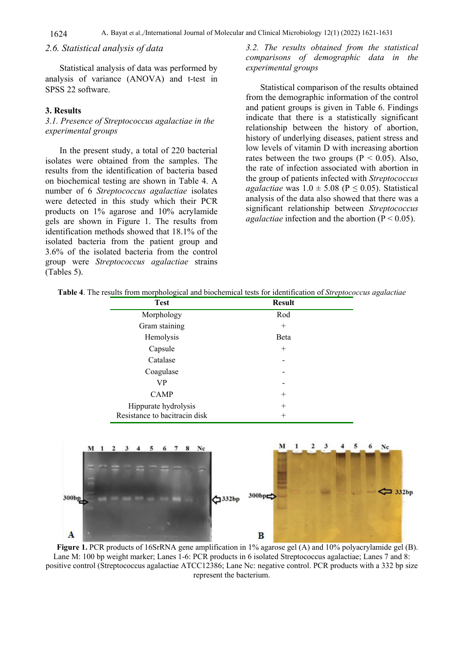# *2.6. Statistical analysis of data*

Statistical analysis of data was performed by analysis of variance (ANOVA) and t-test in SPSS 22 software.

#### **3. Results**

#### *3.1. Presence of Streptococcus agalactiae in the experimental groups*

In the present study, a total of 220 bacterial isolates were obtained from the samples. The results from the identification of bacteria based on biochemical testing are shown in Table 4. A number of 6 *Streptococcus agalactiae* isolates were detected in this study which their PCR products on 1% agarose and 10% acrylamide gels are shown in Figure 1. The results from identification methods showed that 18.1% of the isolated bacteria from the patient group and 3.6% of the isolated bacteria from the control group were *Streptococcus agalactiae* strains (Tables 5).

# *3.2. The results obtained from the statistical comparisons of demographic data in the experimental groups*

Statistical comparison of the results obtained from the demographic information of the control and patient groups is given in Table 6. Findings indicate that there is a statistically significant relationship between the history of abortion, history of underlying diseases, patient stress and low levels of vitamin D with increasing abortion rates between the two groups ( $P < 0.05$ ). Also, the rate of infection associated with abortion in the group of patients infected with *Streptococcus agalactiae* was  $1.0 \pm 5.08$  ( $P \le 0.05$ ). Statistical analysis of the data also showed that there was a significant relationship between *Streptococcus agalactiae* infection and the abortion  $(P < 0.05)$ .

|  |  |  |  | <b>Table 4.</b> The results from morphological and biochemical tests for identification of <i>Streptococcus agalactiae</i> |  |
|--|--|--|--|----------------------------------------------------------------------------------------------------------------------------|--|
|  |  |  |  |                                                                                                                            |  |

| <b>Test</b>                   | <b>Result</b> |  |  |
|-------------------------------|---------------|--|--|
| Morphology                    | Rod           |  |  |
| Gram staining                 | $\pm$         |  |  |
| Hemolysis                     | Beta          |  |  |
| Capsule                       | $^{+}$        |  |  |
| Catalase                      |               |  |  |
| Coagulase                     |               |  |  |
| VP                            |               |  |  |
| <b>CAMP</b>                   | $\pm$         |  |  |
| Hippurate hydrolysis          | $\pm$         |  |  |
| Resistance to bacitracin disk | $\pm$         |  |  |



**Figure 1.** PCR products of 16SrRNA gene amplification in 1% agarose gel (A) and 10% polyacrylamide gel (B). Lane M: 100 bp weight marker; Lanes 1-6: PCR products in 6 isolated Streptococcus agalactiae; Lanes 7 and 8: positive control (Streptococcus agalactiae ATCC12386; Lane Nc: negative control. PCR products with a 332 bp size represent the bacterium.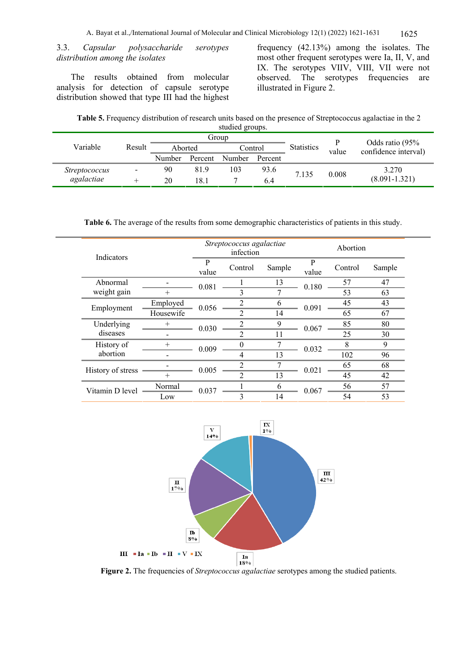3.3. *Capsular polysaccharide serotypes distribution among the isolates*

The results obtained from molecular analysis for detection of capsule serotype distribution showed that type III had the highest frequency (42.13%) among the isolates. The most other frequent serotypes were Ia, II, V, and IX. The serotypes VIIV, VIII, VII were not observed. The serotypes frequencies are illustrated in Figure 2.

| Table 5. Frequency distribution of research units based on the presence of Streptococcus agalactiae in the 2 |                |  |
|--------------------------------------------------------------------------------------------------------------|----------------|--|
|                                                                                                              | studied groups |  |

| studied groups.      |                              |                    |         |               |                   |       |                                         |                   |  |
|----------------------|------------------------------|--------------------|---------|---------------|-------------------|-------|-----------------------------------------|-------------------|--|
|                      |                              | Group              |         |               |                   |       |                                         |                   |  |
| Variable             | Result                       | Aborted<br>Control |         |               | <b>Statistics</b> | value | Odds ratio (95%<br>confidence interval) |                   |  |
|                      |                              | Number             | Percent | <b>Number</b> | Percent           |       |                                         |                   |  |
| <i>Streptococcus</i> | $\qquad \qquad \blacksquare$ | 90                 | 819     | 103           | 93.6              | 7.135 | 0.008                                   | 3.270             |  |
| agalactiae           |                              | 20                 | 18.1    |               | 6.4               |       |                                         | $(8.091 - 1.321)$ |  |

**Table 6.** The average of the results from some demographic characteristics of patients in this study.

| Indicators        |           | Streptococcus agalactiae<br>infection |         |             |            | Abortion |          |  |
|-------------------|-----------|---------------------------------------|---------|-------------|------------|----------|----------|--|
|                   |           | P<br>value                            | Control | Sample      | P<br>value | Control  | Sample   |  |
| Abnormal          |           | 0.081                                 |         | 13          | 0.180      | 57       | 47       |  |
| weight gain       | $^{+}$    |                                       |         |             |            | 53       | 63       |  |
| Employment        | Employed  | 0.056                                 |         | h           | 0.091      | 45       | 43       |  |
|                   | Housewife |                                       | ↑       | 14          |            | 65       | 67       |  |
| Underlying        | $^{+}$    | 0.030                                 |         | $\mathbf Q$ | 0.067      | 85       | 80       |  |
| diseases          |           |                                       | 2       | 11          |            | 25       | 30       |  |
| History of        | $^{+}$    | 0.009                                 | ∩       |             | 0.032      | Q        | $\Omega$ |  |
| abortion          |           |                                       | 4       | 13          |            | 102      | 96       |  |
| History of stress |           | 0.005                                 |         |             | 0.021      | 65       | 68       |  |
|                   | $^{+}$    |                                       |         | 13          |            | 45       | 42       |  |
| Vitamin D level   | Normal    | 0.037                                 |         | 6           | 0.067      | 56       | 57       |  |
|                   | Low       |                                       | 3       | 14          |            | 54       | 53       |  |



**Figure 2.** The frequencies of *Streptococcus agalactiae* serotypes among the studied patients.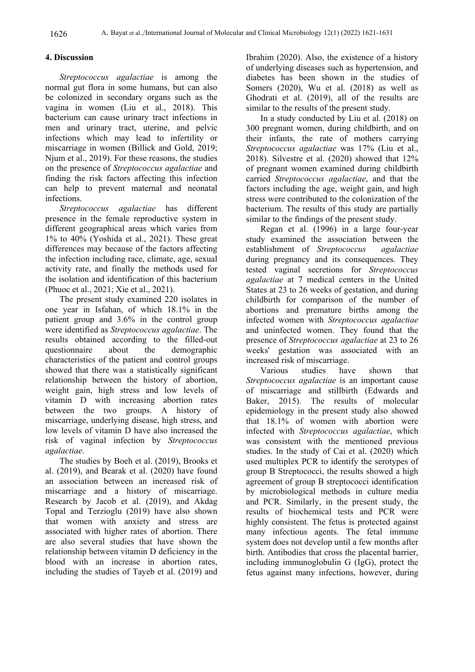# **4. Discussion**

*Streptococcus agalactiae* is among the normal gut flora in some humans, but can also be colonized in secondary organs such as the vagina in women (Liu et al., 2018). This bacterium can cause urinary tract infections in men and urinary tract, uterine, and pelvic infections which may lead to infertility or miscarriage in women (Billick and Gold, 2019; Njum et al., 2019). For these reasons, the studies on the presence of *Streptococcus agalactiae* and finding the risk factors affecting this infection can help to prevent maternal and neonatal infections.

*Streptococcus agalactiae* has different presence in the female reproductive system in different geographical areas which varies from 1% to 40% (Yoshida et al., 2021). These great differences may because of the factors affecting the infection including race, climate, age, sexual activity rate, and finally the methods used for the isolation and identification of this bacterium (Phuoc et al., 2021; Xie et al., 2021).

The present study examined 220 isolates in one year in Isfahan, of which 18.1% in the patient group and 3.6% in the control group were identified as *Streptococcus agalactiae*. The results obtained according to the filled-out questionnaire about the demographic characteristics of the patient and control groups showed that there was a statistically significant relationship between the history of abortion, weight gain, high stress and low levels of vitamin D with increasing abortion rates between the two groups. A history of miscarriage, underlying disease, high stress, and low levels of vitamin D have also increased the risk of vaginal infection by *Streptococcus agalactiae*.

The studies by Boeh et al. (2019), Brooks et al. (2019), and Bearak et al. (2020) have found an association between an increased risk of miscarriage and a history of miscarriage. Research by Jacob et al. (2019), and Akdag Topal and Terzioglu (2019) have also shown that women with anxiety and stress are associated with higher rates of abortion. There are also several studies that have shown the relationship between vitamin D deficiency in the blood with an increase in abortion rates, including the studies of Tayeb et al. (2019) and

Ibrahim (2020). Also, the existence of a history of underlying diseases such as hypertension, and diabetes has been shown in the studies of Somers (2020), Wu et al. (2018) as well as Ghodrati et al. (2019), all of the results are similar to the results of the present study.

In a study conducted by Liu et al. (2018) on 300 pregnant women, during childbirth, and on their infants, the rate of mothers carrying *Streptococcus agalactiae* was 17% (Liu et al., 2018). Silvestre et al. (2020) showed that 12% of pregnant women examined during childbirth carried *Streptococcus agalactiae*, and that the factors including the age, weight gain, and high stress were contributed to the colonization of the bacterium. The results of this study are partially similar to the findings of the present study.

Regan et al. (1996) in a large four-year study examined the association between the establishment of *Streptococcus agalactiae* during pregnancy and its consequences. They tested vaginal secretions for *Streptococcus agalactiae* at 7 medical centers in the United States at 23 to 26 weeks of gestation, and during childbirth for comparison of the number of abortions and premature births among the infected women with *Streptococcus agalactiae*  and uninfected women. They found that the presence of *Streptococcus agalactiae* at 23 to 26 weeks' gestation was associated with an increased risk of miscarriage.

Various studies have shown that *Streptococcus agalactiae* is an important cause of miscarriage and stillbirth (Edwards and Baker, 2015). The results of molecular epidemiology in the present study also showed that 18.1% of women with abortion were infected with *Streptococcus agalactiae*, which was consistent with the mentioned previous studies. In the study of Cai et al. (2020) which used multiplex PCR to identify the serotypes of group B Streptococci, the results showed a high agreement of group B streptococci identification by microbiological methods in culture media and PCR. Similarly, in the present study, the results of biochemical tests and PCR were highly consistent. The fetus is protected against many infectious agents. The fetal immune system does not develop until a few months after birth. Antibodies that cross the placental barrier, including immunoglobulin G (IgG), protect the fetus against many infections, however, during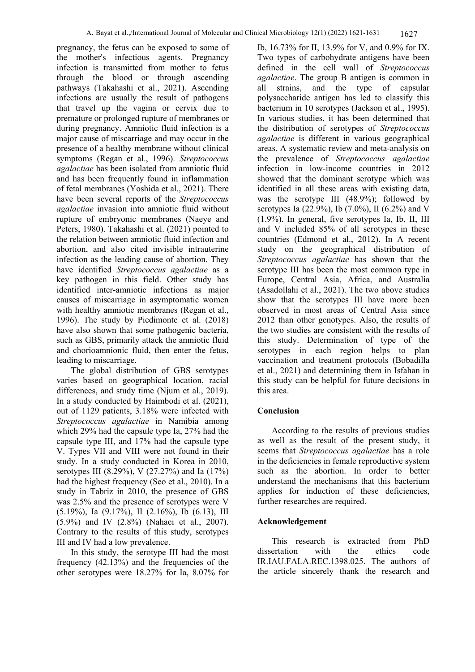pregnancy, the fetus can be exposed to some of the mother's infectious agents. Pregnancy infection is transmitted from mother to fetus through the blood or through ascending pathways (Takahashi et al., 2021). Ascending infections are usually the result of pathogens that travel up the vagina or cervix due to premature or prolonged rupture of membranes or during pregnancy. Amniotic fluid infection is a major cause of miscarriage and may occur in the presence of a healthy membrane without clinical symptoms (Regan et al., 1996). *Streptococcus agalactiae* has been isolated from amniotic fluid and has been frequently found in inflammation of fetal membranes (Yoshida et al., 2021). There have been several reports of the *Streptococcus agalactiae* invasion into amniotic fluid without rupture of embryonic membranes (Naeye and Peters, 1980). Takahashi et al. (2021) pointed to the relation between amniotic fluid infection and abortion, and also cited invisible intrauterine infection as the leading cause of abortion. They have identified *Streptococcus agalactiae* as a key pathogen in this field. Other study has identified inter-amniotic infections as major causes of miscarriage in asymptomatic women with healthy amniotic membranes (Regan et al., 1996). The study by Piedimonte et al. (2018) have also shown that some pathogenic bacteria, such as GBS, primarily attack the amniotic fluid and chorioamnionic fluid, then enter the fetus, leading to miscarriage.

The global distribution of GBS serotypes varies based on geographical location, racial differences, and study time (Njum et al., 2019). In a study conducted by Haimbodi et al. (2021), out of 1129 patients, 3.18% were infected with *Streptococcus agalactiae* in Namibia among which 29% had the capsule type Ia, 27% had the capsule type III, and 17% had the capsule type V. Types VII and VIII were not found in their study. In a study conducted in Korea in 2010, serotypes III (8.29%), V (27.27%) and Ia (17%) had the highest frequency (Seo et al., 2010). In a study in Tabriz in 2010, the presence of GBS was 2.5% and the presence of serotypes were V (5.19%), Ia (9.17%), II (2.16%), Ib (6.13), III (5.9%) and IV (2.8%) (Nahaei et al., 2007). Contrary to the results of this study, serotypes III and IV had a low prevalence.

In this study, the serotype III had the most frequency (42.13%) and the frequencies of the other serotypes were 18.27% for Ia, 8.07% for

Ib, 16.73% for II, 13.9% for V, and 0.9% for IX. Two types of carbohydrate antigens have been defined in the cell wall of *Streptococcus agalactiae*. The group B antigen is common in all strains, and the type of capsular polysaccharide antigen has led to classify this bacterium in 10 serotypes (Jackson et al., 1995). In various studies, it has been determined that the distribution of serotypes of *Streptococcus agalactiae* is different in various geographical areas. A systematic review and meta-analysis on the prevalence of *Streptococcus agalactiae* infection in low-income countries in 2012 showed that the dominant serotype which was identified in all these areas with existing data, was the serotype III (48.9%); followed by serotypes Ia (22.9%), Ib (7.0%), II (6.2%) and V (1.9%). In general, five serotypes Ia, Ib, II, III and V included 85% of all serotypes in these countries (Edmond et al., 2012). In A recent study on the geographical distribution of *Streptococcus agalactiae* has shown that the serotype III has been the most common type in Europe, Central Asia, Africa, and Australia (Asadollahi et al., 2021). The two above studies show that the serotypes III have more been observed in most areas of Central Asia since 2012 than other genotypes. Also, the results of the two studies are consistent with the results of this study. Determination of type of the serotypes in each region helps to plan vaccination and treatment protocols (Bobadilla et al., 2021) and determining them in Isfahan in this study can be helpful for future decisions in this area.

# **Conclusion**

According to the results of previous studies as well as the result of the present study, it seems that *Streptococcus agalactiae* has a role in the deficiencies in female reproductive system such as the abortion. In order to better understand the mechanisms that this bacterium applies for induction of these deficiencies, further researches are required.

#### **Acknowledgement**

This research is extracted from PhD dissertation with the ethics code IR.IAU.FALA.REC.1398.025. The authors of the article sincerely thank the research and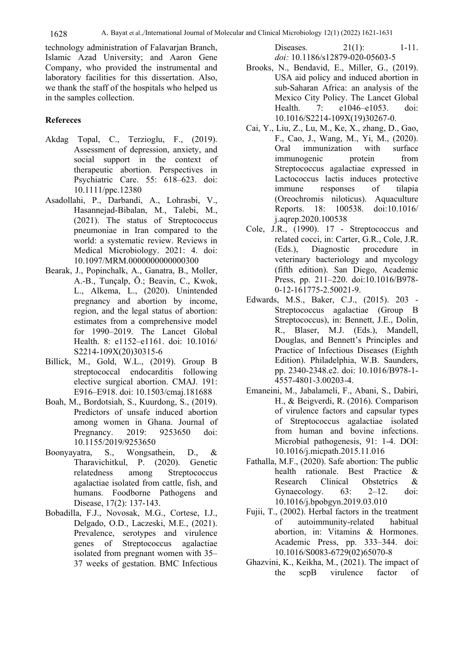technology administration of Falavarjan Branch, Islamic Azad University; and Aaron Gene Company, who provided the instrumental and laboratory facilities for this dissertation. Also, we thank the staff of the hospitals who helped us in the samples collection.

# **Refereces**

- Akdag Topal, C., Terzioglu, F., (2019). Assessment of depression, anxiety, and social support in the context of therapeutic abortion. Perspectives in Psychiatric Care. 55: 618–623. doi: 10.1111/ppc.12380
- Asadollahi, P., Darbandi, A., Lohrasbi, V., Hasannejad-Bibalan, M., Talebi, M., (2021). The status of Streptococcus pneumoniae in Iran compared to the world: a systematic review. Reviews in Medical Microbiology. 2021: 4. doi: 10.1097/MRM.0000000000000300
- Bearak, J., Popinchalk, A., Ganatra, B., Moller, A.-B., Tunçalp, Ö.; Beavin, C., Kwok, L., Alkema, L., (2020). Unintended pregnancy and abortion by income, region, and the legal status of abortion: estimates from a comprehensive model for 1990–2019. The Lancet Global Health. 8: e1152–e1161. doi: 10.1016/ S2214-109X(20)30315-6
- Billick, M., Gold, W.L., (2019). Group B streptococcal endocarditis following elective surgical abortion. CMAJ. 191: E916–E918. doi: 10.1503/cmaj.181688
- Boah, M., Bordotsiah, S., Kuurdong, S., (2019). Predictors of unsafe induced abortion among women in Ghana. Journal of Pregnancy. 2019: 9253650 doi: 10.1155/2019/9253650
- Boonyayatra, S., Wongsathein, D., & Tharavichitkul, P. (2020). Genetic relatedness among Streptococcus agalactiae isolated from cattle, fish, and humans. Foodborne Pathogens and Disease, 17(2): 137-143.
- Bobadilla, F.J., Novosak, M.G., Cortese, I.J., Delgado, O.D., Laczeski, M.E., (2021). Prevalence, serotypes and virulence genes of Streptococcus agalactiae isolated from pregnant women with 35– 37 weeks of gestation. BMC Infectious

Diseases. 21(1): 1-11. *doi:* 10.1186/s12879-020-05603-5

- Brooks, N., Bendavid, E., Miller, G., (2019). USA aid policy and induced abortion in sub-Saharan Africa: an analysis of the Mexico City Policy. The Lancet Global Health. 7: e1046–e1053. doi: 10.1016/S2214-109X(19)30267-0.
- Cai, Y., Liu, Z., Lu, M., Ke, X., zhang, D., Gao, F., Cao, J., Wang, M., Yi, M., (2020). Oral immunization with surface immunogenic protein from Streptococcus agalactiae expressed in Lactococcus lactis induces protective immune responses of tilapia (Oreochromis niloticus). Aquaculture Reports. 18: 100538. doi:10.1016/ j.aqrep.2020.100538
- Cole, J.R., (1990). 17 Streptococcus and related cocci, in: Carter, G.R., Cole, J.R. (Eds.), Diagnostic procedure in veterinary bacteriology and mycology (fifth edition). San Diego, Academic Press, pp. 211–220. doi:10.1016/B978- 0-12-161775-2.50021-9.
- Edwards, M.S., Baker, C.J., (2015). 203 Streptococcus agalactiae (Group B Streptococcus), in: Bennett, J.E., Dolin, R., Blaser, M.J. (Eds.), Mandell, Douglas, and Bennett's Principles and Practice of Infectious Diseases (Eighth Edition). Philadelphia, W.B. Saunders, pp. 2340-2348.e2. doi: 10.1016/B978-1- 4557-4801-3.00203-4.
- Emaneini, M., Jabalameli, F., Abani, S., Dabiri, H., & Beigverdi, R. (2016). Comparison of virulence factors and capsular types of Streptococcus agalactiae isolated from human and bovine infections. Microbial pathogenesis, 91: 1-4. DOI: 10.1016/j.micpath.2015.11.016
- Fathalla, M.F., (2020). Safe abortion: The public health rationale. Best Practice & Research Clinical Obstetrics & Gynaecology. 63: 2–12. doi: 10.1016/j.bpobgyn.2019.03.010
- Fujii, T., (2002). Herbal factors in the treatment of autoimmunity-related habitual abortion, in: Vitamins & Hormones. Academic Press, pp. 333–344. doi: 10.1016/S0083-6729(02)65070-8
- Ghazvini, K., Keikha, M., (2021). The impact of the scpB virulence factor of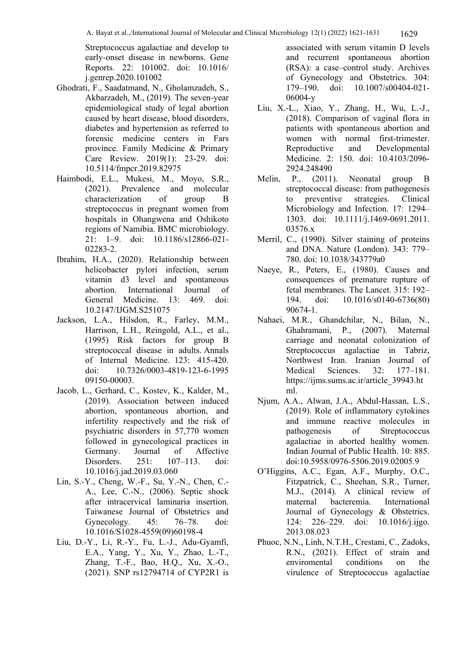Streptococcus agalactiae and develop to early-onset disease in newborns. Gene Reports. 22: 101002. doi: 10.1016/ j.genrep.2020.101002

- Ghodrati, F., Saadatmand, N., Gholamzadeh, S., Akbarzadeh, M., (2019). The seven-year epidemiological study of legal abortion caused by heart disease, blood disorders, diabetes and hypertension as referred to forensic medicine centers in Fars province. Family Medicine & Primary Care Review. 2019(1): 23-29. doi: 10.5114/fmpcr.2019.82975
- Haimbodi, E.L., Mukesi, M., Moyo, S.R., (2021). Prevalence and molecular characterization of group B streptococcus in pregnant women from hospitals in Ohangwena and Oshikoto regions of Namibia. BMC microbiology. 21: 1–9. doi: 10.1186/s12866-021- 02283-2.
- Ibrahim, H.A., (2020). Relationship between helicobacter pylori infection, serum vitamin d3 level and spontaneous abortion. International Journal of General Medicine. 13: 469. doi: 10.2147/IJGM.S251075
- Jackson, L.A., Hilsdon, R., Farley, M.M., Harrison, L.H., Reingold, A.L., et al., (1995) Risk factors for group B streptococcal disease in adults. Annals of Internal Medicine. 123: 415-420. doi: 10.7326/0003-4819-123-6-1995 09150-00003.
- Jacob, L., Gerhard, C., Kostev, K., Kalder, M., (2019). Association between induced abortion, spontaneous abortion, and infertility respectively and the risk of psychiatric disorders in 57,770 women followed in gynecological practices in Germany. Journal of Affective Disorders. 251: 107–113. doi: 10.1016/j.jad.2019.03.060
- Lin, S.-Y., Cheng, W.-F., Su, Y.-N., Chen, C.- A., Lee, C.-N., (2006). Septic shock after intracervical laminaria insertion. Taiwanese Journal of Obstetrics and Gynecology. 45: 76–78. doi: 10.1016/S1028-4559(09)60198-4
- Liu, D.-Y., Li, R.-Y., Fu, L.-J., Adu-Gyamfi, E.A., Yang, Y., Xu, Y., Zhao, L.-T., Zhang, T.-F., Bao, H.Q., Xu, X.-O., (2021). SNP rs12794714 of CYP2R1 is

associated with serum vitamin D levels and recurrent spontaneous abortion (RSA): a case–control study. Archives of Gynecology and Obstetrics. 304: 179–190. doi: 10.1007/s00404-021- 06004-y

- Liu, X.-L., Xiao, Y., Zhang, H., Wu, L.-J., (2018). Comparison of vaginal flora in patients with spontaneous abortion and women with normal first-trimester. Reproductive and Developmental Medicine. 2: 150. doi: 10.4103/2096- 2924.248490
- Melin, P., (2011). Neonatal group B streptococcal disease: from pathogenesis to preventive strategies. Clinical Microbiology and Infection. 17: 1294– 1303. doi: 10.1111/j.1469-0691.2011. 03576.x
- Merril, C., (1990). Silver staining of proteins and DNA. Nature (London). 343: 779– 780. doi: 10.1038/343779a0
- Naeye, R., Peters, E., (1980). Causes and consequences of premature rupture of fetal membranes. The Lancet. 315: 192– 194. doi: 10.1016/s0140-6736(80) 90674-1.
- Nahaei, M.R., Ghandchilar, N., Bilan, N., Ghahramani, P., (2007). Maternal carriage and neonatal colonization of Streptococcus agalactiae in Tabriz, Northwest Iran. Iranian Journal of Medical Sciences. 32: 177–181. https://ijms.sums.ac.ir/article\_39943.ht ml.
- Njum, A.A., Alwan, J.A., Abdul-Hassan, L.S., (2019). Role of inflammatory cytokines and immune reactive molecules in pathogenesis of Streptococcus agalactiae in aborted healthy women. Indian Journal of Public Health. 10: 885. doi:10.5958/0976-5506.2019.02005.9
- O'Higgins, A.C., Egan, A.F., Murphy, O.C., Fitzpatrick, C., Sheehan, S.R., Turner, M.J., (2014). A clinical review of maternal bacteremia. International Journal of Gynecology & Obstetrics. 124: 226–229. doi: 10.1016/j.ijgo. 2013.08.023
- Phuoc, N.N., Linh, N.T.H., Crestani, C., Zadoks, R.N., (2021). Effect of strain and enviromental conditions on the virulence of Streptococcus agalactiae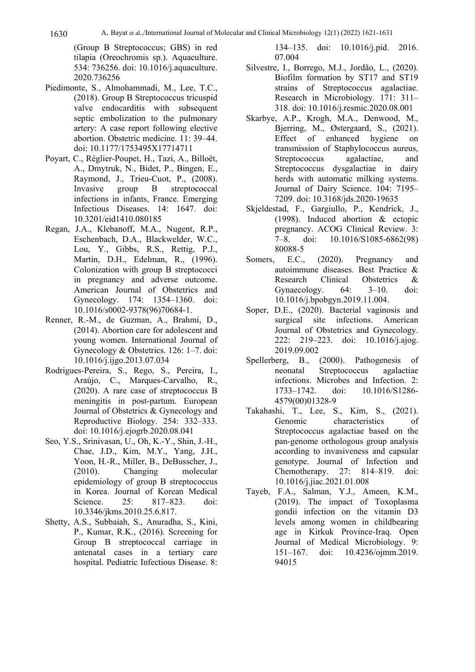1630 A. Bayat et al.,/International Journal of Molecular and Clinical Microbiology 12(1) (2022) 1621-1631

(Group B Streptococcus; GBS) in red tilapia (Oreochromis sp.). Aquaculture. 534: 736256. doi: 10.1016/j.aquaculture. 2020.736256

- Piedimonte, S., Almohammadi, M., Lee, T.C., (2018). Group B Streptococcus tricuspid valve endocarditis with subsequent septic embolization to the pulmonary artery: A case report following elective abortion. Obstetric medicine. 11: 39–44. doi: 10.1177/1753495X17714711
- Poyart, C., Réglier-Poupet, H., Tazi, A., Billoët, A., Dmytruk, N., Bidet, P., Bingen, E., Raymond, J., Trieu-Cuot, P., (2008). Invasive group B streptococcal infections in infants, France. Emerging Infectious Diseases. 14: 1647. doi: 10.3201/eid1410.080185
- Regan, J.A., Klebanoff, M.A., Nugent, R.P., Eschenbach, D.A., Blackwelder, W.C., Lou, Y., Gibbs, R.S., Rettig, P.J., Martin, D.H., Edelman, R., (1996). Colonization with group B streptococci in pregnancy and adverse outcome. American Journal of Obstetrics and Gynecology. 174: 1354–1360. doi: 10.1016/s0002-9378(96)70684-1.
- Renner, R.-M., de Guzman, A., Brahmi, D., (2014). Abortion care for adolescent and young women. International Journal of Gynecology & Obstetrics. 126: 1–7. doi: 10.1016/j.ijgo.2013.07.034
- Rodrigues-Pereira, S., Rego, S., Pereira, I., Araújo, C., Marques-Carvalho, R., (2020). A rare case of streptococcus B meningitis in post-partum. European Journal of Obstetrics & Gynecology and Reproductive Biology. 254: 332–333. doi: 10.1016/j.ejogrb.2020.08.041
- Seo, Y.S., Srinivasan, U., Oh, K.-Y., Shin, J.-H., Chae, J.D., Kim, M.Y., Yang, J.H., Yoon, H.-R., Miller, B., DeBusscher, J., (2010). Changing molecular epidemiology of group B streptococcus in Korea. Journal of Korean Medical Science. 25: 817–823. doi: 10.3346/jkms.2010.25.6.817.
- Shetty, A.S., Subbaiah, S., Anuradha, S., Kini, P., Kumar, R.K., (2016). Screening for Group B streptococcal carriage in antenatal cases in a tertiary care hospital. Pediatric Infectious Disease. 8:

134–135. doi: 10.1016/j.pid. 2016. 07.004

- Silvestre, I., Borrego, M.J., Jordão, L., (2020). Biofilm formation by ST17 and ST19 strains of Streptococcus agalactiae. Research in Microbiology. 171: 311– 318. doi: 10.1016/j.resmic.2020.08.001
- Skarbye, A.P., Krogh, M.A., Denwood, M., Bjerring, M., Østergaard, S., (2021). Effect of enhanced hygiene on transmission of Staphylococcus aureus, Streptococcus agalactiae, and Streptococcus dysgalactiae in dairy herds with automatic milking systems. Journal of Dairy Science. 104: 7195– 7209. doi: 10.3168/jds.2020-19635
- Skjeldestad, F., Gargiullo, P., Kendrick, J., (1998). Induced abortion & ectopic pregnancy. ACOG Clinical Review. 3: 7–8. doi: 10.1016/S1085-6862(98) 80088-5
- Somers, E.C., (2020). Pregnancy and autoimmune diseases. Best Practice & Research Clinical Obstetrics & Gynaecology. 64: 3–10. doi: 10.1016/j.bpobgyn.2019.11.004.
- Soper, D.E., (2020). Bacterial vaginosis and surgical site infections. American Journal of Obstetrics and Gynecology. 222: 219–223. doi: 10.1016/j.ajog. 2019.09.002
- Spellerberg, B., (2000). Pathogenesis of neonatal Streptococcus agalactiae infections. Microbes and Infection. 2: 1733–1742. doi: 10.1016/S1286- 4579(00)01328-9
- Takahashi, T., Lee, S., Kim, S., (2021). Genomic characteristics of Streptococcus agalactiae based on the pan-genome orthologous group analysis according to invasiveness and capsular genotype. Journal of Infection and Chemotherapy. 27: 814–819. doi: 10.1016/j.jiac.2021.01.008
- Tayeb, F.A., Salman, Y.J., Ameen, K.M., (2019). The impact of Toxoplasma gondii infection on the vitamin D3 levels among women in childbearing age in Kirkuk Province-Iraq. Open Journal of Medical Microbiology. 9: 151–167. doi: 10.4236/ojmm.2019. 94015